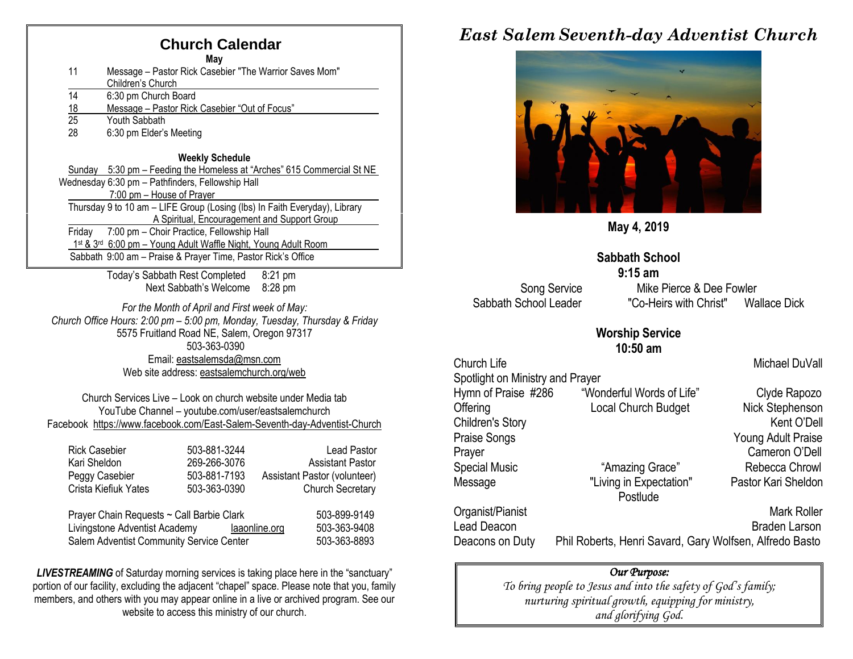## **Church Calendar**

**May**

- 11 Message Pastor Rick Casebier "The Warrior Saves Mom" Children's Church
- 14 6:30 pm Church Board
- 18 Message Pastor Rick Casebier "Out of Focus"<br>25 Youth Sabbath
- Youth Sabbath
- 28 6:30 pm Elder's Meeting

#### **Weekly Schedule**

Sunday 5:30 pm – Feeding the Homeless at "Arches" 615 Commercial St NE Wednesday 6:30 pm – Pathfinders, Fellowship Hall 7:00 pm – House of Prayer Thursday 9 to 10 am – LIFE Group (Losing (lbs) In Faith Everyday), Library A Spiritual, Encouragement and Support Group Friday 7:00 pm – Choir Practice, Fellowship Hall 1st & 3rd 6:00 pm - Young Adult Waffle Night, Young Adult Room Sabbath 9:00 am – Praise & Prayer Time, Pastor Rick's Office

> Today's Sabbath Rest Completed 8:21 pm Next Sabbath's Welcome 8:28 pm

*For the Month of April and First week of May: Church Office Hours: 2:00 pm – 5:00 pm, Monday, Tuesday, Thursday & Friday* 5575 Fruitland Road NE, Salem, Oregon 97317 503-363-0390 Email: [eastsalemsda@msn.com](mailto:eastsalemsda@msn.com) Web site address[: eastsalemchurch.org/w](http://eastsalem.adventists.info/)eb

Church Services Live – Look on church website under Media tab YouTube Channel – youtube.com/user/eastsalemchurch Facebook [https://www.facebook.com/East-Salem-Seventh-day-Adventist-Church](https://www.facebook.com/East-Salem-Seventh-day-Adventist-Church-111402832212994/?fref=ts)

| <b>Rick Casebier</b>                      | 503-881-3244 | <b>Lead Pastor</b>           |
|-------------------------------------------|--------------|------------------------------|
| Kari Sheldon                              | 269-266-3076 | <b>Assistant Pastor</b>      |
| Peggy Casebier                            | 503-881-7193 | Assistant Pastor (volunteer) |
| Crista Kiefiuk Yates                      | 503-363-0390 | <b>Church Secretary</b>      |
| Prayer Chain Requests ~ Call Barbie Clark |              | 503-899-9149                 |

Livingstone Adventist Academy [laaonline.org](http://www.laa.info/) 503-363-9408 Salem Adventist Community Service Center 503-363-8893

**LIVESTREAMING** of Saturday morning services is taking place here in the "sanctuary" portion of our facility, excluding the adjacent "chapel" space. Please note that you, family members, and others with you may appear online in a live or archived program. See our website to access this ministry of our church.

## *East Salem Seventh-day Adventist Church*



**May 4, 2019**

### **Sabbath School**

**9:15 am** Song Service Mike Pierce & Dee Fowler Sabbath School Leader "Co-Heirs with Christ" Wallace Dick

#### **Worship Service 10:50 am**

Church Life **Michael DuVall** 

Spotlight on Ministry and Prayer Hymn of Praise #286 "Wonderful Words of Life" Clyde Rapozo Offering **Local Church Budget** Nick Stephenson Children's Story **Kent O'Dell** Praise Songs **Young Adult Praise** Prayer Cameron O'Dell Special Music "Amazing Grace" Rebecca Chrowl Message "Living in Expectation" Pastor Kari Sheldon **Postlude** Organist/Pianist Mark Roller Lead Deacon **Braden Larson** Braden Larson

Deacons on Duty Phil Roberts, Henri Savard, Gary Wolfsen, Alfredo Basto

#### *Our Purpose:*

*To bring people to Jesus and into the safety of God's family; nurturing spiritual growth, equipping for ministry, and glorifying God.*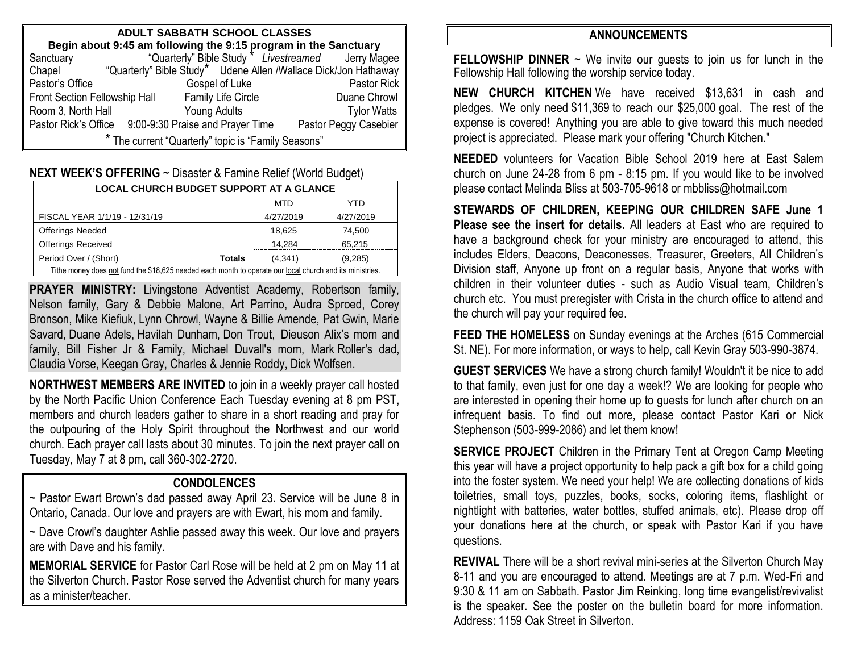| ADULT SABBATH SCHOOL CLASSES                                              |                                  |                                                    |                    |  |  |  |
|---------------------------------------------------------------------------|----------------------------------|----------------------------------------------------|--------------------|--|--|--|
| Begin about 9:45 am following the 9:15 program in the Sanctuary           |                                  |                                                    |                    |  |  |  |
| Sanctuary                                                                 |                                  | "Quarterly" Bible Study * Livestreamed Jerry Magee |                    |  |  |  |
| "Quarterly" Bible Study* Udene Allen /Wallace Dick/Jon Hathaway<br>Chapel |                                  |                                                    |                    |  |  |  |
| Pastor's Office                                                           | Gospel of Luke                   |                                                    | Pastor Rick        |  |  |  |
| <b>Family Life Circle</b><br>Front Section Fellowship Hall                |                                  | Duane Chrowl                                       |                    |  |  |  |
| Room 3, North Hall                                                        | Young Adults                     |                                                    | <b>Tylor Watts</b> |  |  |  |
| Pastor Rick's Office                                                      | 9:00-9:30 Praise and Prayer Time | Pastor Peggy Casebier                              |                    |  |  |  |
| * The current "Quarterly" topic is "Family Seasons"                       |                                  |                                                    |                    |  |  |  |

| <b>NEXT WEEK'S OFFERING</b> ~ Disaster & Famine Relief (World Budget) |  |  |
|-----------------------------------------------------------------------|--|--|
|-----------------------------------------------------------------------|--|--|

| <b>LOCAL CHURCH BUDGET SUPPORT AT A GLANCE</b>                                                           |               |           |           |  |  |
|----------------------------------------------------------------------------------------------------------|---------------|-----------|-----------|--|--|
|                                                                                                          |               | MTD       | YTD       |  |  |
| FISCAL YEAR 1/1/19 - 12/31/19                                                                            |               | 4/27/2019 | 4/27/2019 |  |  |
| <b>Offerings Needed</b>                                                                                  |               | 18.625    | 74.500    |  |  |
| <b>Offerings Received</b>                                                                                |               | 14,284    | 65,215    |  |  |
| Period Over / (Short)                                                                                    | <b>Totals</b> | (4.341)   | (9, 285)  |  |  |
| Tithe money does not fund the \$18,625 needed each month to operate our local church and its ministries. |               |           |           |  |  |

**PRAYER MINISTRY:** Livingstone Adventist Academy, Robertson family, Nelson family, Gary & Debbie Malone, Art Parrino, Audra Sproed, Corey Bronson, Mike Kiefiuk, Lynn Chrowl, Wayne & Billie Amende, Pat Gwin, Marie Savard, Duane Adels, Havilah Dunham, Don Trout, Dieuson Alix's mom and family, Bill Fisher Jr & Family, Michael Duvall's mom, Mark Roller's dad, Claudia Vorse, Keegan Gray, Charles & Jennie Roddy, Dick Wolfsen.

**NORTHWEST MEMBERS ARE INVITED** to join in a weekly prayer call hosted by the North Pacific Union Conference Each Tuesday evening at 8 pm PST, members and church leaders gather to share in a short reading and pray for the outpouring of the Holy Spirit throughout the Northwest and our world church. Each prayer call lasts about 30 minutes. To join the next prayer call on Tuesday, May 7 at 8 pm, call 360-302-2720.

### **CONDOLENCES**

~ Pastor Ewart Brown's dad passed away April 23. Service will be June 8 in Ontario, Canada. Our love and prayers are with Ewart, his mom and family.

~ Dave Crowl's daughter Ashlie passed away this week. Our love and prayers are with Dave and his family.

**MEMORIAL SERVICE** for Pastor Carl Rose will be held at 2 pm on May 11 at the Silverton Church. Pastor Rose served the Adventist church for many years as a minister/teacher.

#### **ANNOUNCEMENTS**

**FELLOWSHIP DINNER**  $\sim$  We invite our guests to join us for lunch in the Fellowship Hall following the worship service today.

**NEW CHURCH KITCHEN** We have received \$13,631 in cash and pledges. We only need \$11,369 to reach our \$25,000 goal. The rest of the expense is covered! Anything you are able to give toward this much needed project is appreciated. Please mark your offering "Church Kitchen."

**NEEDED** volunteers for Vacation Bible School 2019 here at East Salem church on June 24-28 from 6 pm - 8:15 pm. If you would like to be involved please contact Melinda Bliss at 503-705-9618 or [mbbliss@hotmail.com](mailto:mbbliss@hotmail.com)

**STEWARDS OF CHILDREN, KEEPING OUR CHILDREN SAFE June 1 Please see the insert for details.** All leaders at East who are required to have a background check for your ministry are encouraged to attend, this includes Elders, Deacons, Deaconesses, Treasurer, Greeters, All Children's Division staff, Anyone up front on a regular basis, Anyone that works with children in their volunteer duties - such as Audio Visual team, Children's church etc. You must preregister with Crista in the church office to attend and the church will pay your required fee.

**FEED THE HOMELESS** on Sunday evenings at the Arches (615 Commercial St. NE). For more information, or ways to help, call Kevin Gray 503-990-3874.

**GUEST SERVICES** We have a strong church family! Wouldn't it be nice to add to that family, even just for one day a week!? We are looking for people who are interested in opening their home up to guests for lunch after church on an infrequent basis. To find out more, please contact Pastor Kari or Nick Stephenson (503-999-2086) and let them know!

**SERVICE PROJECT** Children in the Primary Tent at Oregon Camp Meeting this year will have a project opportunity to help pack a gift box for a child going into the foster system. We need your help! We are collecting donations of kids toiletries, small toys, puzzles, books, socks, coloring items, flashlight or nightlight with batteries, water bottles, stuffed animals, etc). Please drop off your donations here at the church, or speak with Pastor Kari if you have questions.

**REVIVAL** There will be a short revival mini-series at the Silverton Church May 8-11 and you are encouraged to attend. Meetings are at 7 p.m. Wed-Fri and 9:30 & 11 am on Sabbath. Pastor Jim Reinking, long time evangelist/revivalist is the speaker. See the poster on the bulletin board for more information. Address: 1159 Oak Street in Silverton.